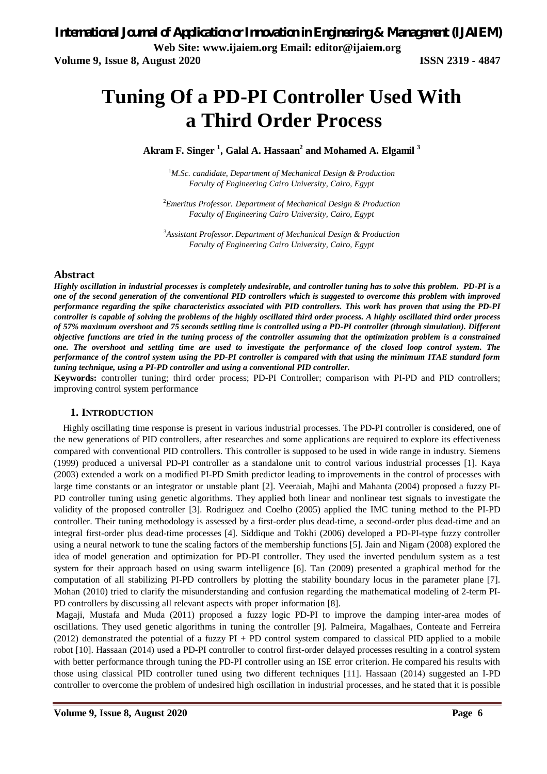# **Tuning Of a PD-PI Controller Used With a Third Order Process**

**Akram F. Singer <sup>1</sup> , Galal A. Hassaan<sup>2</sup> and Mohamed A. Elgamil <sup>3</sup>**

<sup>1</sup>*M.Sc. candidate, Department of Mechanical Design & Production Faculty of Engineering Cairo University, Cairo, Egypt*

<sup>2</sup>*Emeritus Professor. Department of Mechanical Design & Production Faculty of Engineering Cairo University, Cairo, Egypt*

<sup>3</sup>*Assistant Professor. Department of Mechanical Design & Production Faculty of Engineering Cairo University, Cairo, Egypt*

## **Abstract**

*Highly oscillation in industrial processes is completely undesirable, and controller tuning has to solve this problem. PD-PI is a one of the second generation of the conventional PID controllers which is suggested to overcome this problem with improved performance regarding the spike characteristics associated with PID controllers. This work has proven that using the PD-PI controller is capable of solving the problems of the highly oscillated third order process. A highly oscillated third order process of 57% maximum overshoot and 75 seconds settling time is controlled using a PD-PI controller (through simulation). Different objective functions are tried in the tuning process of the controller assuming that the optimization problem is a constrained one. The overshoot and settling time are used to investigate the performance of the closed loop control system. The performance of the control system using the PD-PI controller is compared with that using the minimum ITAE standard form tuning technique, using a PI-PD controller and using a conventional PID controller.*

**Keywords:** controller tuning; third order process; PD-PI Controller; comparison with PI-PD and PID controllers; improving control system performance

## **1. INTRODUCTION**

Highly oscillating time response is present in various industrial processes. The PD-PI controller is considered, one of the new generations of PID controllers, after researches and some applications are required to explore its effectiveness compared with conventional PID controllers. This controller is supposed to be used in wide range in industry. Siemens (1999) produced a universal PD-PI controller as a standalone unit to control various industrial processes [1]. Kaya (2003) extended a work on a modified PI-PD Smith predictor leading to improvements in the control of processes with large time constants or an integrator or unstable plant [2]. Veeraiah, Majhi and Mahanta (2004) proposed a fuzzy PI-PD controller tuning using genetic algorithms. They applied both linear and nonlinear test signals to investigate the validity of the proposed controller [3]. Rodriguez and Coelho (2005) applied the IMC tuning method to the PI-PD controller. Their tuning methodology is assessed by a first-order plus dead-time, a second-order plus dead-time and an integral first-order plus dead-time processes [4]. Siddique and Tokhi (2006) developed a PD-PI-type fuzzy controller using a neural network to tune the scaling factors of the membership functions [5]. Jain and Nigam (2008) explored the idea of model generation and optimization for PD-PI controller. They used the inverted pendulum system as a test system for their approach based on using swarm intelligence [6]. Tan (2009) presented a graphical method for the computation of all stabilizing PI-PD controllers by plotting the stability boundary locus in the parameter plane [7]. Mohan (2010) tried to clarify the misunderstanding and confusion regarding the mathematical modeling of 2-term PI-PD controllers by discussing all relevant aspects with proper information [8].

Magaji, Mustafa and Muda (2011) proposed a fuzzy logic PD-PI to improve the damping inter-area modes of oscillations. They used genetic algorithms in tuning the controller [9]. Palmeira, Magalhaes, Conteate and Ferreira  $(2012)$  demonstrated the potential of a fuzzy PI + PD control system compared to classical PID applied to a mobile robot [10]. Hassaan (2014) used a PD-PI controller to control first-order delayed processes resulting in a control system with better performance through tuning the PD-PI controller using an ISE error criterion. He compared his results with those using classical PID controller tuned using two different techniques [11]. Hassaan (2014) suggested an I-PD controller to overcome the problem of undesired high oscillation in industrial processes, and he stated that it is possible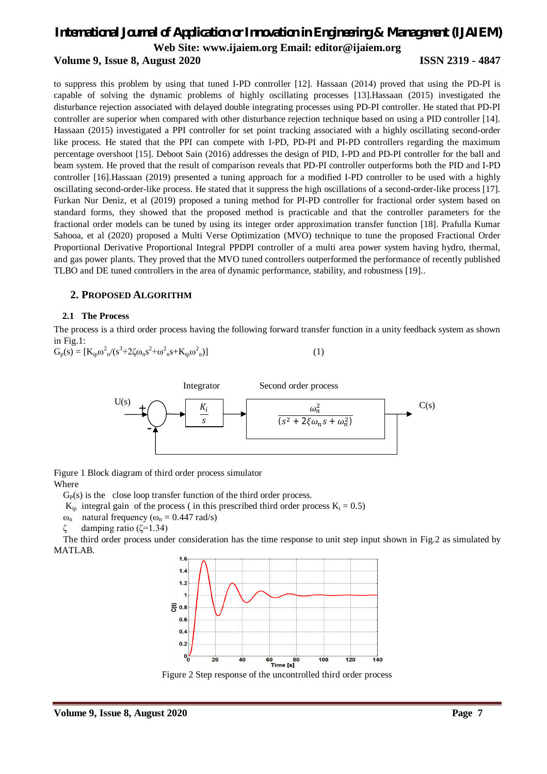## **Volume 9, Issue 8, August 2020 ISSN 2319 - 4847**

to suppress this problem by using that tuned I-PD controller [12]. Hassaan (2014) proved that using the PD-PI is capable of solving the dynamic problems of highly oscillating processes [13].Hassaan (2015) investigated the disturbance rejection associated with delayed double integrating processes using PD-PI controller. He stated that PD-PI controller are superior when compared with other disturbance rejection technique based on using a PID controller [14]. Hassaan (2015) investigated a PPI controller for set point tracking associated with a highly oscillating second-order like process. He stated that the PPI can compete with I-PD, PD-PI and PI-PD controllers regarding the maximum percentage overshoot [15]. Deboot Sain (2016) addresses the design of PID, I-PD and PD-PI controller for the ball and beam system. He proved that the result of comparison reveals that PD-PI controller outperforms both the PID and I-PD controller [16].Hassaan (2019) presented a tuning approach for a modified I-PD controller to be used with a highly oscillating second-order-like process. He stated that it suppress the high oscillations of a second-order-like process [17]. Furkan Nur Deniz, et al (2019) proposed a tuning method for PI-PD controller for fractional order system based on standard forms, they showed that the proposed method is practicable and that the controller parameters for the fractional order models can be tuned by using its integer order approximation transfer function [18]. Prafulla Kumar Sahooa, et al (2020) proposed a Multi Verse Optimization (MVO) technique to tune the proposed Fractional Order Proportional Derivative Proportional Integral PPDPI controller of a multi area power system having hydro, thermal, and gas power plants. They proved that the MVO tuned controllers outperformed the performance of recently published TLBO and DE tuned controllers in the area of dynamic performance, stability, and robustness [19]..

## **2. PROPOSED ALGORITHM**

## **2.1 The Process**

The process is a third order process having the following forward transfer function in a unity feedback system as shown in Fig.1:

$$
G_p(s) = [K_{ip}\omega_n^2/(s^3 + 2\zeta\omega_n s^2 + \omega_n^2 s + K_{ip}\omega_n^2)]
$$
 (1)



Figure 1 Block diagram of third order process simulator Where

 $G<sub>P</sub>(s)$  is the close loop transfer function of the third order process.

 $K_{ip}$  integral gain of the process (in this prescribed third order process  $K_i = 0.5$ )

ω<sub>n</sub> natural frequency ( $ω_n = 0.447$  rad/s)

damping ratio ( $\zeta$ =1.34)

The third order process under consideration has the time response to unit step input shown in Fig.2 as simulated by MATLAB.



Figure 2 Step response of the uncontrolled third order process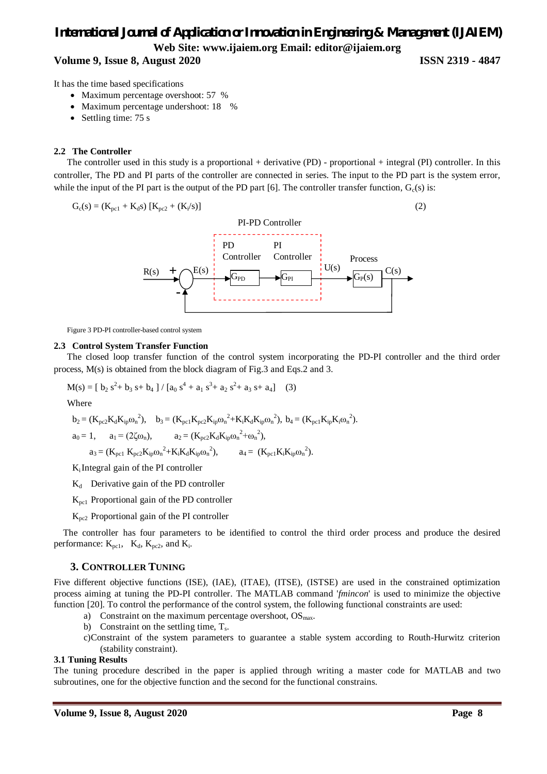## **Volume 9, Issue 8, August 2020 ISSN 2319 - 4847**

It has the time based specifications

- Maximum percentage overshoot: 57 %
- Maximum percentage undershoot: 18 %
- Settling time:  $75 s$

#### **2.2 The Controller**

The controller used in this study is a proportional + derivative (PD) - proportional + integral (PI) controller. In this controller, The PD and PI parts of the controller are connected in series. The input to the PD part is the system error, while the input of the PI part is the output of the PD part [6]. The controller transfer function,  $G_c(s)$  is:



Figure 3 PD-PI controller-based control system

#### **2.3 Control System Transfer Function**

The closed loop transfer function of the control system incorporating the PD-PI controller and the third order process, M(s) is obtained from the block diagram of Fig.3 and Eqs.2 and 3.

$$
M(s) = [b_2 s^2 + b_3 s + b_4] / [a_0 s^4 + a_1 s^3 + a_2 s^2 + a_3 s + a_4]
$$
 (3)  
Where  

$$
b_2 = (K_{pc2} K_d K_{ip} \omega_n^2), \quad b_3 = (K_{pc1} K_{pc2} K_{ip} \omega_n^2 + K_i K_d K_{ip} \omega_n^2), \quad b_4 = (K_{pc1} K_{ip} K_i \omega_n^2).
$$

$$
a_0 = 1
$$
,  $a_1 = (2\zeta\omega_n)$ ,  $a_2 = (K_{pc2}K_dK_{ip}\omega_n^2 + \omega_n^2)$ ,

 $a_3 = (K_{\text{pc1}} K_{\text{pc2}} K_{\text{ip}} \omega_n^2 + K_i K_d K_{\text{ip}} \omega_n^2), \qquad a_4 = (K_{\text{pc1}} K_i K_{\text{ip}} \omega_n^2).$ 

 $K_i$ Integral gain of the PI controller

- $K_d$  Derivative gain of the PD controller
- $K_{\text{pc}1}$  Proportional gain of the PD controller
- Kpc2 Proportional gain of the PI controller

The controller has four parameters to be identified to control the third order process and produce the desired performance:  $K_{\text{pc1}}$ ,  $K_d$ ,  $K_{\text{pc2}}$ , and  $K_i$ .

#### **3. CONTROLLER TUNING**

Five different objective functions (ISE), (IAE), (ITAE), (ITSE), (ISTSE) are used in the constrained optimization process aiming at tuning the PD-PI controller. The MATLAB command '*fmincon*' is used to minimize the objective function [20]. To control the performance of the control system, the following functional constraints are used:

- a) Constraint on the maximum percentage overshoot,  $OS<sub>max</sub>$ .
- b) Constraint on the settling time,  $T_s$ .
- c)Constraint of the system parameters to guarantee a stable system according to Routh-Hurwitz criterion (stability constraint).

#### **3.1 Tuning Results**

The tuning procedure described in the paper is applied through writing a master code for MATLAB and two subroutines, one for the objective function and the second for the functional constrains.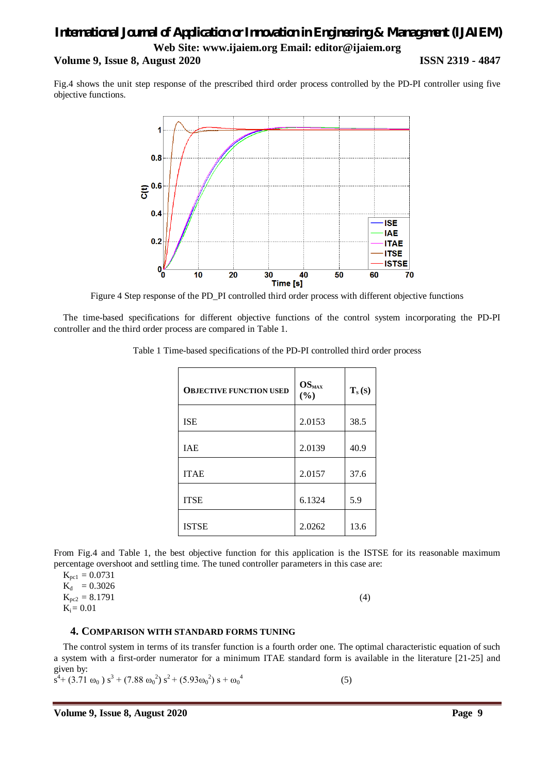## *International Journal of Application or Innovation in Engineering & Management (IJAIEM)* **Web Site: www.ijaiem.org Email: editor@ijaiem.org Volume 9, Issue 8, August 2020 ISSN 2319 - 4847**

Fig.4 shows the unit step response of the prescribed third order process controlled by the PD-PI controller using five objective functions.



Figure 4 Step response of the PD\_PI controlled third order process with different objective functions

The time-based specifications for different objective functions of the control system incorporating the PD-PI controller and the third order process are compared in Table 1.

| <b>OBJECTIVE FUNCTION USED</b> | $OS_{MAX}$<br>(%) | $T_s(s)$ |
|--------------------------------|-------------------|----------|
| <b>ISE</b>                     | 2.0153            | 38.5     |
| <b>IAE</b>                     | 2.0139            | 40.9     |
| <b>ITAE</b>                    | 2.0157            | 37.6     |
| <b>ITSE</b>                    | 6.1324            | 5.9      |
| <b>ISTSE</b>                   | 2.0262            | 13.6     |

Table 1 Time-based specifications of the PD-PI controlled third order process

From Fig.4 and Table 1, the best objective function for this application is the ISTSE for its reasonable maximum percentage overshoot and settling time. The tuned controller parameters in this case are:

 $K_{pc1} = 0.0731$ 

 $K_d = 0.3026$  $K_{pc2} = 8.1791$  (4)  $K_i = 0.01$ 

## **4. COMPARISON WITH STANDARD FORMS TUNING**

The control system in terms of its transfer function is a fourth order one. The optimal characteristic equation of such a system with a first-order numerator for a minimum ITAE standard form is available in the literature [21-25] and given by:

$$
s^{4} + (3.71 \omega_{0}) s^{3} + (7.88 \omega_{0}^{2}) s^{2} + (5.93 \omega_{0}^{2}) s + \omega_{0}^{4}
$$
 (5)

**Volume 9, Issue 8, August 2020 Page 9**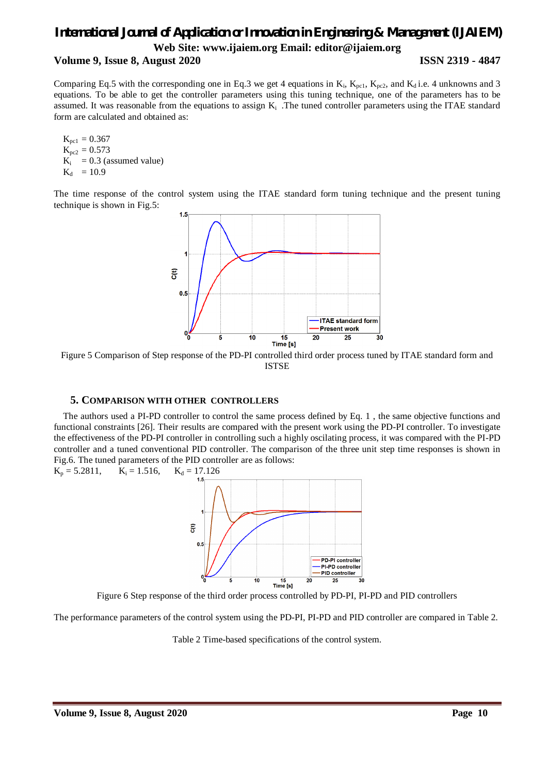## **Volume 9, Issue 8, August 2020 ISSN 2319 - 4847**

Comparing Eq.5 with the corresponding one in Eq.3 we get 4 equations in  $K_i$ ,  $K_{\text{pc1}}$ ,  $K_{\text{pc2}}$ , and  $K_d$  i.e. 4 unknowns and 3 equations. To be able to get the controller parameters using this tuning technique, one of the parameters has to be assumed. It was reasonable from the equations to assign  $K_i$ . The tuned controller parameters using the ITAE standard form are calculated and obtained as:

 $K_{\text{nc1}} = 0.367$  $K_{pc2} = 0.573$  $K_i$  = 0.3 (assumed value)  $K_{d} = 10.9$ 

The time response of the control system using the ITAE standard form tuning technique and the present tuning technique is shown in Fig.5:



Figure 5 Comparison of Step response of the PD-PI controlled third order process tuned by ITAE standard form and ISTSE

## **5. COMPARISON WITH OTHER CONTROLLERS**

The authors used a PI-PD controller to control the same process defined by Eq. 1 , the same objective functions and functional constraints [26]. Their results are compared with the present work using the PD-PI controller. To investigate the effectiveness of the PD-PI controller in controlling such a highly oscilating process, it was compared with the PI-PD controller and a tuned conventional PID controller. The comparison of the three unit step time responses is shown in Fig.6. The tuned parameters of the PID controller are as follows:



Figure 6 Step response of the third order process controlled by PD-PI, PI-PD and PID controllers

The performance parameters of the control system using the PD-PI, PI-PD and PID controller are compared in Table 2.

Table 2 Time-based specifications of the control system.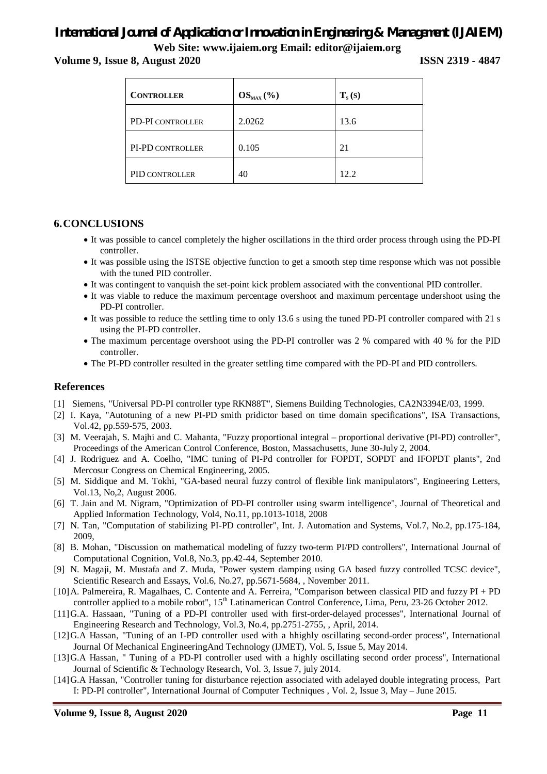**Volume 9, Issue 8, August 2020 ISSN 2319 - 4847**

| <b>CONTROLLER</b> | $OS_{MAX}$ (%) | $T_s(s)$ |
|-------------------|----------------|----------|
| PD-PI CONTROLLER  | 2.0262         | 13.6     |
| PI-PD CONTROLLER  | 0.105          | 21       |
| PID CONTROLLER    | 40             | 12.2     |

## **6.CONCLUSIONS**

- It was possible to cancel completely the higher oscillations in the third order process through using the PD-PI controller.
- It was possible using the ISTSE objective function to get a smooth step time response which was not possible with the tuned PID controller.
- It was contingent to vanquish the set-point kick problem associated with the conventional PID controller.
- It was viable to reduce the maximum percentage overshoot and maximum percentage undershoot using the PD-PI controller.
- It was possible to reduce the settling time to only 13.6 s using the tuned PD-PI controller compared with 21 s using the PI-PD controller.
- The maximum percentage overshoot using the PD-PI controller was 2 % compared with 40 % for the PID controller.
- The PI-PD controller resulted in the greater settling time compared with the PD-PI and PID controllers.

## **References**

- [1] Siemens, "Universal PD-PI controller type RKN88T", Siemens Building Technologies, CA2N3394E/03, 1999.
- [2] I. Kaya, "Autotuning of a new PI-PD smith pridictor based on time domain specifications", ISA Transactions, Vol.42, pp.559-575, 2003.
- [3] M. Veerajah, S. Majhi and C. Mahanta, "Fuzzy proportional integral proportional derivative (PI-PD) controller", Proceedings of the American Control Conference, Boston, Massachusetts, June 30-July 2, 2004.
- [4] J. Rodriguez and A. Coelho, "IMC tuning of PI-Pd controller for FOPDT, SOPDT and IFOPDT plants", 2nd Mercosur Congress on Chemical Engineering, 2005.
- [5] M. Siddique and M. Tokhi, "GA-based neural fuzzy control of flexible link manipulators", Engineering Letters, Vol.13, No,2, August 2006.
- [6] T. Jain and M. Nigram, "Optimization of PD-PI controller using swarm intelligence", Journal of Theoretical and Applied Information Technology, Vol4, No.11, pp.1013-1018, 2008
- [7] N. Tan, "Computation of stabilizing PI-PD controller", Int. J. Automation and Systems, Vol.7, No.2, pp.175-184, 2009,
- [8] B. Mohan, "Discussion on mathematical modeling of fuzzy two-term PI/PD controllers", International Journal of Computational Cognition, Vol.8, No.3, pp.42-44, September 2010.
- [9] N. Magaji, M. Mustafa and Z. Muda, "Power system damping using GA based fuzzy controlled TCSC device", Scientific Research and Essays, Vol.6, No.27, pp.5671-5684, , November 2011.
- [10]A. Palmereira, R. Magalhaes, C. Contente and A. Ferreira, "Comparison between classical PID and fuzzy PI + PD controller applied to a mobile robot", 15<sup>th</sup> Latinamerican Control Conference, Lima, Peru, 23-26 October 2012.
- [11]G.A. Hassaan, "Tuning of a PD-PI controller used with first-order-delayed processes", International Journal of Engineering Research and Technology, Vol.3, No.4, pp.2751-2755, , April, 2014.
- [12]G.A Hassan, "Tuning of an I-PD controller used with a hhighly oscillating second-order process", International Journal Of Mechanical EngineeringAnd Technology (IJMET), Vol. 5, Issue 5, May 2014.
- [13]G.A Hassan, " Tuning of a PD-PI controller used with a highly oscillating second order process", International Journal of Scientific & Technology Research, Vol. 3, Issue 7, july 2014.
- [14]G.A Hassan, "Controller tuning for disturbance rejection associated with adelayed double integrating process, Part I: PD-PI controller", International Journal of Computer Techniques , Vol. 2, Issue 3, May – June 2015.